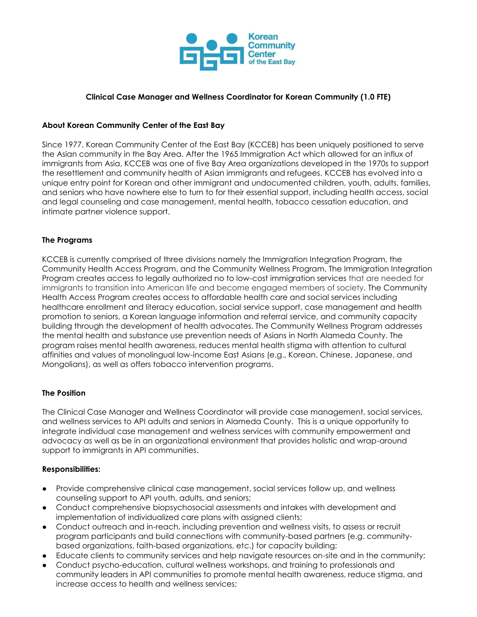

# **Clinical Case Manager and Wellness Coordinator for Korean Community (1.0 FTE)**

### **About Korean Community Center of the East Bay**

Since 1977, Korean Community Center of the East Bay (KCCEB) has been uniquely positioned to serve the Asian community in the Bay Area. After the 1965 Immigration Act which allowed for an influx of immigrants from Asia, KCCEB was one of five Bay Area organizations developed in the 1970s to support the resettlement and community health of Asian immigrants and refugees. KCCEB has evolved into a unique entry point for Korean and other immigrant and undocumented children, youth, adults, families, and seniors who have nowhere else to turn to for their essential support, including health access, social and legal counseling and case management, mental health, tobacco cessation education, and intimate partner violence support.

### **The Programs**

KCCEB is currently comprised of three divisions namely the Immigration Integration Program, the Community Health Access Program, and the Community Wellness Program. The Immigration Integration Program creates access to legally authorized no to low-cost immigration services that are needed for immigrants to transition into American life and become engaged members of society. The Community Health Access Program creates access to affordable health care and social services including healthcare enrollment and literacy education, social service support, case management and health promotion to seniors, a Korean language information and referral service, and community capacity building through the development of health advocates. The Community Wellness Program addresses the mental health and substance use prevention needs of Asians in North Alameda County. The program raises mental health awareness, reduces mental health stigma with attention to cultural affinities and values of monolingual low-income East Asians (e.g., Korean, Chinese, Japanese, and Mongolians), as well as offers tobacco intervention programs.

#### **The Position**

The Clinical Case Manager and Wellness Coordinator will provide case management, social services, and wellness services to API adults and seniors in Alameda County. This is a unique opportunity to integrate individual case management and wellness services with community empowerment and advocacy as well as be in an organizational environment that provides holistic and wrap-around support to immigrants in API communities.

#### **Responsibilities:**

- Provide comprehensive clinical case management, social services follow up, and wellness counseling support to API youth, adults, and seniors;
- Conduct comprehensive biopsychosocial assessments and intakes with development and implementation of individualized care plans with assigned clients;
- Conduct outreach and in-reach, including prevention and wellness visits, to assess or recruit program participants and build connections with community-based partners (e.g. communitybased organizations, faith-based organizations, etc.) for capacity building;
- Educate clients to community services and help navigate resources on-site and in the community;
- Conduct psycho-education, cultural wellness workshops, and training to professionals and community leaders in API communities to promote mental health awareness, reduce stigma, and increase access to health and wellness services;